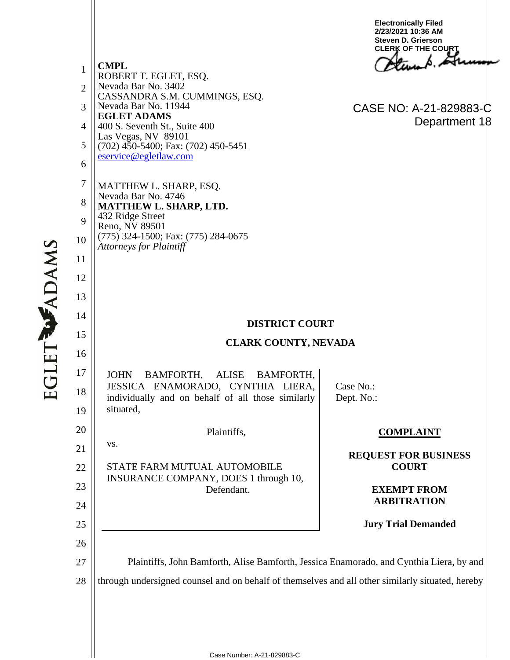1 2 3 4 5 6 7 8 9 10 11 12 13 14 15 16 17 18 19 20 21 22 23 24 25 26 27 28 **CMPL** ROBERT T. EGLET, ESQ. Nevada Bar No. 3402 CASSANDRA S.M. CUMMINGS, ESQ. Nevada Bar No. 11944 **EGLET ADAMS** 400 S. Seventh St., Suite 400 Las Vegas, NV 89101 (702) 450-5400; Fax: (702) 450-5451 eservice@egletlaw.com MATTHEW L. SHARP, ESQ. Nevada Bar No. 4746 **MATTHEW L. SHARP, LTD.** 432 Ridge Street Reno, NV 89501 (775) 324-1500; Fax: (775) 284-0675 *Attorneys for Plaintiff* **DISTRICT COURT CLARK COUNTY, NEVADA** JOHN BAMFORTH, ALISE BAMFORTH, JESSICA ENAMORADO, CYNTHIA LIERA, individually and on behalf of all those similarly situated, Plaintiffs, vs. STATE FARM MUTUAL AUTOMOBILE INSURANCE COMPANY, DOES 1 through 10, Defendant. Case No.: Dept. No.: **COMPLAINT REQUEST FOR BUSINESS COURT EXEMPT FROM ARBITRATION Jury Trial Demanded** Plaintiffs, John Bamforth, Alise Bamforth, Jessica Enamorado, and Cynthia Liera, by and through undersigned counsel and on behalf of themselves and all other similarly situated, hereby **Electronically Filed 2/23/2021 10:36 AM Steven D. Grierson CLERK OF THE COURT** CASE NO: A-21-829883-C Department 18

**EGLET WADAMS**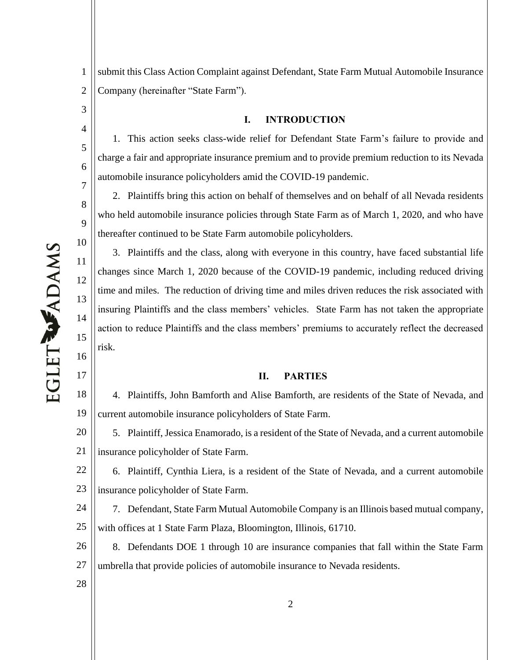1 2 submit this Class Action Complaint against Defendant, State Farm Mutual Automobile Insurance Company (hereinafter "State Farm").

### **I. INTRODUCTION**

1. This action seeks class-wide relief for Defendant State Farm's failure to provide and charge a fair and appropriate insurance premium and to provide premium reduction to its Nevada automobile insurance policyholders amid the COVID-19 pandemic.

2. Plaintiffs bring this action on behalf of themselves and on behalf of all Nevada residents who held automobile insurance policies through State Farm as of March 1, 2020, and who have thereafter continued to be State Farm automobile policyholders.

3. Plaintiffs and the class, along with everyone in this country, have faced substantial life changes since March 1, 2020 because of the COVID-19 pandemic, including reduced driving time and miles. The reduction of driving time and miles driven reduces the risk associated with insuring Plaintiffs and the class members' vehicles. State Farm has not taken the appropriate action to reduce Plaintiffs and the class members' premiums to accurately reflect the decreased risk.

### **II. PARTIES**

18 19 4. Plaintiffs, John Bamforth and Alise Bamforth, are residents of the State of Nevada, and current automobile insurance policyholders of State Farm.

20 21 5. Plaintiff, Jessica Enamorado, is a resident of the State of Nevada, and a current automobile insurance policyholder of State Farm.

22 23 6. Plaintiff, Cynthia Liera, is a resident of the State of Nevada, and a current automobile insurance policyholder of State Farm.

24 25 7. Defendant, State Farm Mutual Automobile Company is an Illinois based mutual company, with offices at 1 State Farm Plaza, Bloomington, Illinois, 61710.

26 27 8. Defendants DOE 1 through 10 are insurance companies that fall within the State Farm umbrella that provide policies of automobile insurance to Nevada residents.

**EGLET WADAMS** 

3

4

5

6

7

8

9

10

11

12

13

14

15

16

17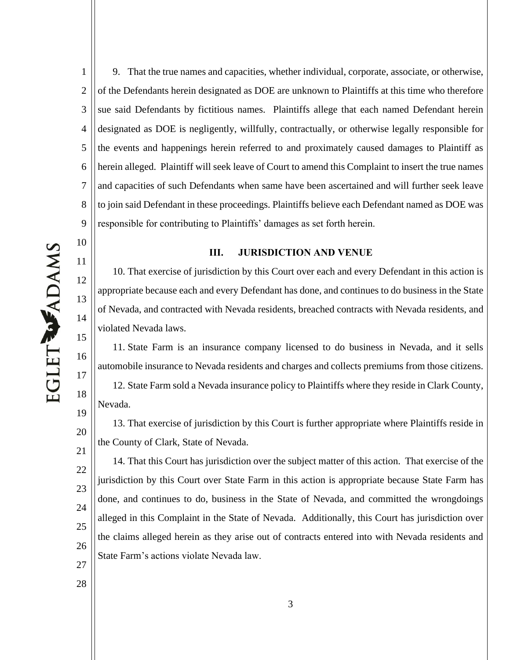EGLET WADAMS

10

11

12

13

14

15

16

17

18

19

20

21

1 2 3 4 5 6 7 8 9 9. That the true names and capacities, whether individual, corporate, associate, or otherwise, of the Defendants herein designated as DOE are unknown to Plaintiffs at this time who therefore sue said Defendants by fictitious names. Plaintiffs allege that each named Defendant herein designated as DOE is negligently, willfully, contractually, or otherwise legally responsible for the events and happenings herein referred to and proximately caused damages to Plaintiff as herein alleged. Plaintiff will seek leave of Court to amend this Complaint to insert the true names and capacities of such Defendants when same have been ascertained and will further seek leave to join said Defendant in these proceedings. Plaintiffs believe each Defendant named as DOE was responsible for contributing to Plaintiffs' damages as set forth herein.

### **III. JURISDICTION AND VENUE**

10. That exercise of jurisdiction by this Court over each and every Defendant in this action is appropriate because each and every Defendant has done, and continues to do business in the State of Nevada, and contracted with Nevada residents, breached contracts with Nevada residents, and violated Nevada laws.

11. State Farm is an insurance company licensed to do business in Nevada, and it sells automobile insurance to Nevada residents and charges and collects premiums from those citizens. 12. State Farm sold a Nevada insurance policy to Plaintiffs where they reside in Clark County, Nevada.

13. That exercise of jurisdiction by this Court is further appropriate where Plaintiffs reside in the County of Clark, State of Nevada.

22 23 24 25 26 27 14. That this Court has jurisdiction over the subject matter of this action. That exercise of the jurisdiction by this Court over State Farm in this action is appropriate because State Farm has done, and continues to do, business in the State of Nevada, and committed the wrongdoings alleged in this Complaint in the State of Nevada. Additionally, this Court has jurisdiction over the claims alleged herein as they arise out of contracts entered into with Nevada residents and State Farm's actions violate Nevada law.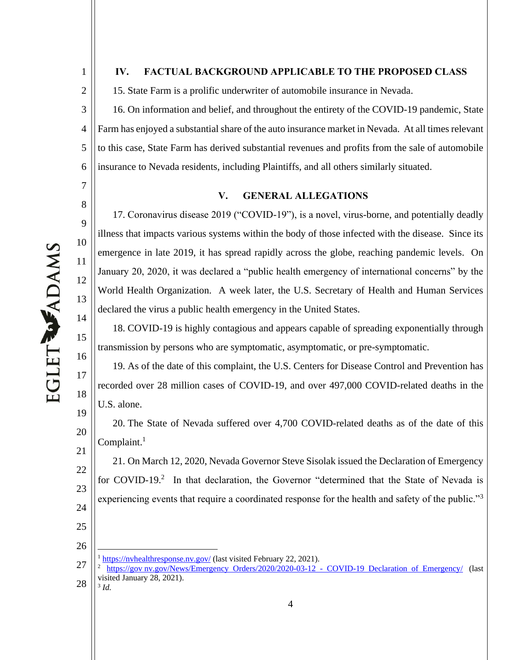1

2

7

8

9

10

11

12

13

14

15

16

17

18

19

20

21

25

26

### **IV. FACTUAL BACKGROUND APPLICABLE TO THE PROPOSED CLASS**

15. State Farm is a prolific underwriter of automobile insurance in Nevada.

3 4 5 6 16. On information and belief, and throughout the entirety of the COVID-19 pandemic, State Farm has enjoyed a substantial share of the auto insurance market in Nevada. At all times relevant to this case, State Farm has derived substantial revenues and profits from the sale of automobile insurance to Nevada residents, including Plaintiffs, and all others similarly situated.

### **V. GENERAL ALLEGATIONS**

17. Coronavirus disease 2019 ("COVID-19"), is a novel, virus-borne, and potentially deadly illness that impacts various systems within the body of those infected with the disease. Since its emergence in late 2019, it has spread rapidly across the globe, reaching pandemic levels. On January 20, 2020, it was declared a "public health emergency of international concerns" by the World Health Organization. A week later, the U.S. Secretary of Health and Human Services declared the virus a public health emergency in the United States.

18. COVID-19 is highly contagious and appears capable of spreading exponentially through transmission by persons who are symptomatic, asymptomatic, or pre-symptomatic.

19. As of the date of this complaint, the U.S. Centers for Disease Control and Prevention has recorded over 28 million cases of COVID-19, and over 497,000 COVID-related deaths in the U.S. alone.

20. The State of Nevada suffered over 4,700 COVID-related deaths as of the date of this Complaint. $<sup>1</sup>$ </sup>

22 23 24 21. On March 12, 2020, Nevada Governor Steve Sisolak issued the Declaration of Emergency for COVID-19.<sup>2</sup> In that declaration, the Governor "determined that the State of Nevada is experiencing events that require a coordinated response for the health and safety of the public."<sup>3</sup>

27  $1 \frac{\text{https://nvhealthresponse.nv.gov/}}{\text{https://nvhealthresponse.nv.gov/}}$  (last visited February 22, 2021).

<sup>28</sup> <sup>2</sup> https://gov nv.gov/News/Emergency Orders/2020/2020-03-12 - COVID-19 Declaration of Emergency/ (last visited January 28, 2021). 3 *Id.*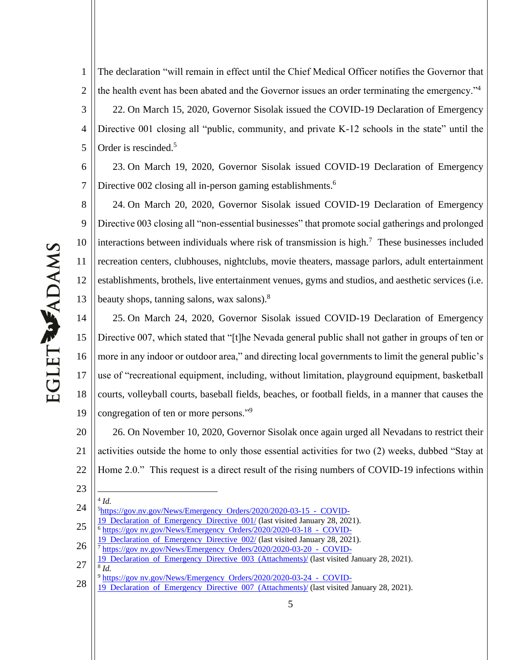The declaration "will remain in effect until the Chief Medical Officer notifies the Governor that the health event has been abated and the Governor issues an order terminating the emergency."<sup>4</sup> 22. On March 15, 2020, Governor Sisolak issued the COVID-19 Declaration of Emergency Directive 001 closing all "public, community, and private K-12 schools in the state" until the Order is rescinded.<sup>5</sup>

 23. On March 19, 2020, Governor Sisolak issued COVID-19 Declaration of Emergency Directive 002 closing all in-person gaming establishments.<sup>6</sup>

 24. On March 20, 2020, Governor Sisolak issued COVID-19 Declaration of Emergency Directive 003 closing all "non-essential businesses" that promote social gatherings and prolonged interactions between individuals where risk of transmission is high.<sup>7</sup> These businesses included recreation centers, clubhouses, nightclubs, movie theaters, massage parlors, adult entertainment establishments, brothels, live entertainment venues, gyms and studios, and aesthetic services (i.e. beauty shops, tanning salons, wax salons).<sup>8</sup>

 25. On March 24, 2020, Governor Sisolak issued COVID-19 Declaration of Emergency Directive 007, which stated that "[t]he Nevada general public shall not gather in groups of ten or more in any indoor or outdoor area," and directing local governments to limit the general public's use of "recreational equipment, including, without limitation, playground equipment, basketball courts, volleyball courts, baseball fields, beaches, or football fields, in a manner that causes the congregation of ten or more persons."<sup>9</sup>

 26. On November 10, 2020, Governor Sisolak once again urged all Nevadans to restrict their activities outside the home to only those essential activities for two  $(2)$  weeks, dubbed "Stay at Home  $2.0$ ." This request is a direct result of the rising numbers of COVID-19 infections within

- - *Id.*

- Declaration of Emergency Directive 001/ (last visited January 28, 2021). https://gov nv.gov/News/Emergency Orders/2020/2020-03-18 - COVID-
- Declaration of Emergency Directive 002/ (last visited January 28, 2021).
- https://gov nv.gov/News/Emergency Orders/2020/2020-03-20 - COVID-
- Declaration of Emergency Directive 003 (Attachments)/ (last visited January 28, 2021). *Id.*
- https://gov nv.gov/News/Emergency Orders/2020/2020-03-24 COVID-
- Declaration of Emergency Directive 007 (Attachments)/ (last visited January 28, 2021).

 https://gov.nv.gov/News/Emergency Orders/2020/2020-03-15 - COVID-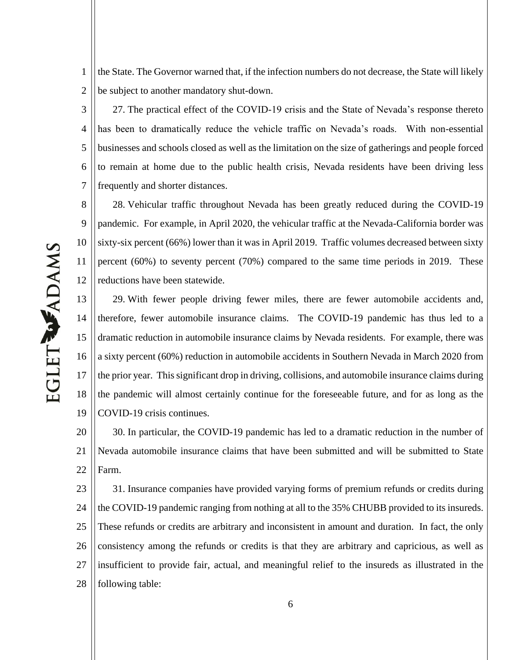1 2 the State. The Governor warned that, if the infection numbers do not decrease, the State will likely be subject to another mandatory shut-down.

3 4 5 6 7 27. The practical effect of the COVID-19 crisis and the State of Nevada's response thereto has been to dramatically reduce the vehicle traffic on Nevada's roads. With non-essential businesses and schools closed as well as the limitation on the size of gatherings and people forced to remain at home due to the public health crisis, Nevada residents have been driving less frequently and shorter distances.

8 9 10 11 12 28. Vehicular traffic throughout Nevada has been greatly reduced during the COVID-19 pandemic. For example, in April 2020, the vehicular traffic at the Nevada-California border was sixty-six percent (66%) lower than it was in April 2019. Traffic volumes decreased between sixty percent (60%) to seventy percent (70%) compared to the same time periods in 2019. These reductions have been statewide.

13 14 15 16 17 18 19 29. With fewer people driving fewer miles, there are fewer automobile accidents and, therefore, fewer automobile insurance claims. The COVID-19 pandemic has thus led to a dramatic reduction in automobile insurance claims by Nevada residents. For example, there was a sixty percent (60%) reduction in automobile accidents in Southern Nevada in March 2020 from the prior year. This significant drop in driving, collisions, and automobile insurance claims during the pandemic will almost certainly continue for the foreseeable future, and for as long as the COVID-19 crisis continues.

20 21 22 30. In particular, the COVID-19 pandemic has led to a dramatic reduction in the number of Nevada automobile insurance claims that have been submitted and will be submitted to State Farm.

23 24 25 26 27 28 31. Insurance companies have provided varying forms of premium refunds or credits during the COVID-19 pandemic ranging from nothing at all to the 35% CHUBB provided to its insureds. These refunds or credits are arbitrary and inconsistent in amount and duration. In fact, the only consistency among the refunds or credits is that they are arbitrary and capricious, as well as insufficient to provide fair, actual, and meaningful relief to the insureds as illustrated in the following table: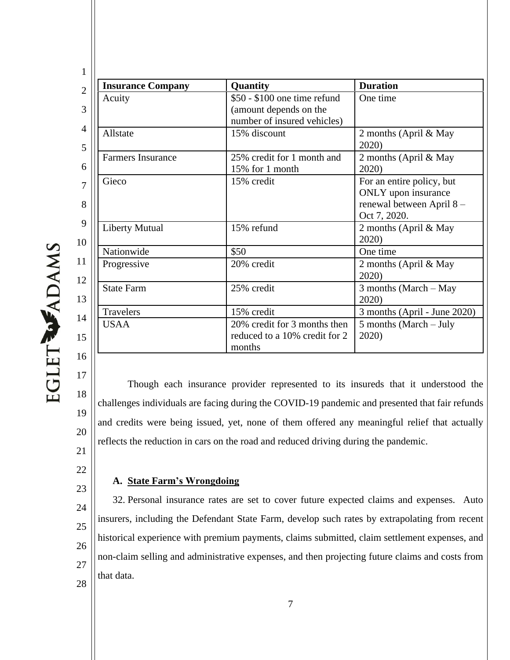| <b>Insurance Company</b> | Quantity                                                                              | <b>Duration</b>                                                                              |
|--------------------------|---------------------------------------------------------------------------------------|----------------------------------------------------------------------------------------------|
| Acuity                   | \$50 - \$100 one time refund<br>(amount depends on the<br>number of insured vehicles) | One time                                                                                     |
| Allstate                 | 15% discount                                                                          | 2 months (April & May<br>2020)                                                               |
| <b>Farmers Insurance</b> | 25% credit for 1 month and<br>15% for 1 month                                         | 2 months (April & May<br>2020)                                                               |
| Gieco                    | 15% credit                                                                            | For an entire policy, but<br>ONLY upon insurance<br>renewal between April 8-<br>Oct 7, 2020. |
| <b>Liberty Mutual</b>    | 15% refund                                                                            | 2 months (April & May<br>2020)                                                               |
| Nationwide               | \$50                                                                                  | One time                                                                                     |
| Progressive              | 20% credit                                                                            | 2 months (April & May<br>2020)                                                               |
| <b>State Farm</b>        | 25% credit                                                                            | 3 months (March - May<br>2020)                                                               |
| <b>Travelers</b>         | 15% credit                                                                            | 3 months (April - June 2020)                                                                 |
| <b>USAA</b>              | 20% credit for 3 months then<br>reduced to a 10% credit for 2<br>months               | 5 months (March – July<br>2020)                                                              |

EGLET WADAMS

- 17 18 19 20 21 Though each insurance provider represented to its insureds that it understood the challenges individuals are facing during the COVID-19 pandemic and presented that fair refunds and credits were being issued, yet, none of them offered any meaningful relief that actually reflects the reduction in cars on the road and reduced driving during the pandemic.
- 22

23

## **A.** State Farm's Wrongdoing

24 25 26 27 28 32. Personal insurance rates are set to cover future expected claims and expenses. Auto insurers, including the Defendant State Farm, develop such rates by extrapolating from recent historical experience with premium payments, claims submitted, claim settlement expenses, and non-claim selling and administrative expenses, and then projecting future claims and costs from that data.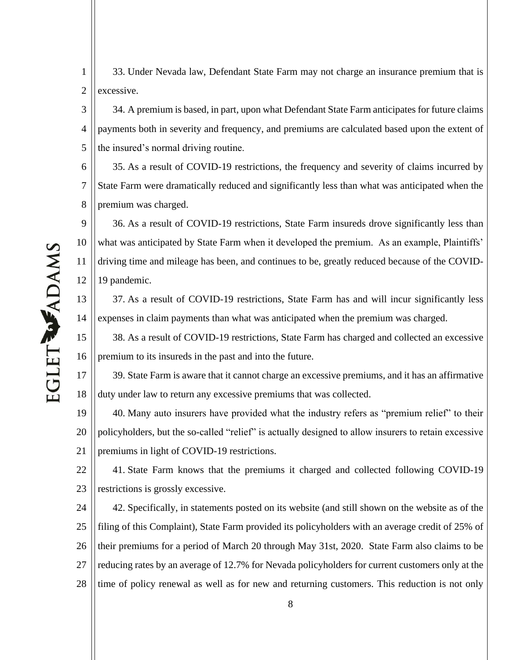1 2 33. Under Nevada law, Defendant State Farm may not charge an insurance premium that is excessive.

3 4 5 34. A premium is based, in part, upon what Defendant State Farm anticipates for future claims payments both in severity and frequency, and premiums are calculated based upon the extent of the insured's normal driving routine.

6 7 8 35. As a result of COVID-19 restrictions, the frequency and severity of claims incurred by State Farm were dramatically reduced and significantly less than what was anticipated when the premium was charged.

9 10 11 12 36. As a result of COVID-19 restrictions, State Farm insureds drove significantly less than what was anticipated by State Farm when it developed the premium. As an example, Plaintiffs' driving time and mileage has been, and continues to be, greatly reduced because of the COVID-19 pandemic.

37. As a result of COVID-19 restrictions, State Farm has and will incur significantly less expenses in claim payments than what was anticipated when the premium was charged.

15 16 38. As a result of COVID-19 restrictions, State Farm has charged and collected an excessive premium to its insureds in the past and into the future.

17 18 39. State Farm is aware that it cannot charge an excessive premiums, and it has an affirmative duty under law to return any excessive premiums that was collected.

19 20 21 40. Many auto insurers have provided what the industry refers as "premium relief" to their policyholders, but the so-called "relief" is actually designed to allow insurers to retain excessive premiums in light of COVID-19 restrictions.

22 23 41. State Farm knows that the premiums it charged and collected following COVID-19 restrictions is grossly excessive.

24 25 26 27 28 42. Specifically, in statements posted on its website (and still shown on the website as of the filing of this Complaint), State Farm provided its policyholders with an average credit of 25% of their premiums for a period of March 20 through May 31st, 2020. State Farm also claims to be reducing rates by an average of 12.7% for Nevada policyholders for current customers only at the time of policy renewal as well as for new and returning customers. This reduction is not only

13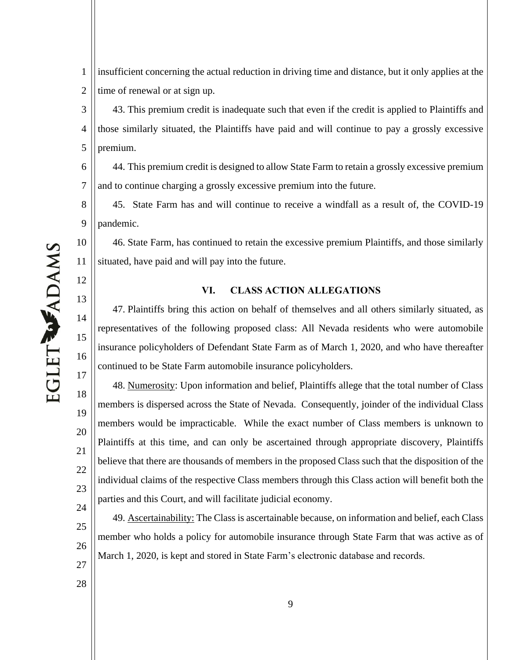3 4 5 6 7 8 43. This premium credit is inadequate such that even if the credit is applied to Plaintiffs and those similarly situated, the Plaintiffs have paid and will continue to pay a grossly excessive premium. 44. This premium credit is designed to allow State Farm to retain a grossly excessive premium and to continue charging a grossly excessive premium into the future.

time of renewal or at sign up.

45. State Farm has and will continue to receive a windfall as a result of, the COVID-19 pandemic.

insufficient concerning the actual reduction in driving time and distance, but it only applies at the

46. State Farm, has continued to retain the excessive premium Plaintiffs, and those similarly situated, have paid and will pay into the future.

### **VI. CLASS ACTION ALLEGATIONS**

47. Plaintiffs bring this action on behalf of themselves and all others similarly situated, as representatives of the following proposed class: All Nevada residents who were automobile insurance policyholders of Defendant State Farm as of March 1, 2020, and who have thereafter continued to be State Farm automobile insurance policyholders.

48. Numerosity: Upon information and belief, Plaintiffs allege that the total number of Class members is dispersed across the State of Nevada. Consequently, joinder of the individual Class members would be impracticable. While the exact number of Class members is unknown to Plaintiffs at this time, and can only be ascertained through appropriate discovery, Plaintiffs believe that there are thousands of members in the proposed Class such that the disposition of the individual claims of the respective Class members through this Class action will benefit both the parties and this Court, and will facilitate judicial economy.

25 26 27 49. Ascertainability: The Class is ascertainable because, on information and belief, each Class member who holds a policy for automobile insurance through State Farm that was active as of March 1, 2020, is kept and stored in State Farm's electronic database and records.

1

2

9

10

11

12

13

14

15

16

17

18

19

20

21

22

23

24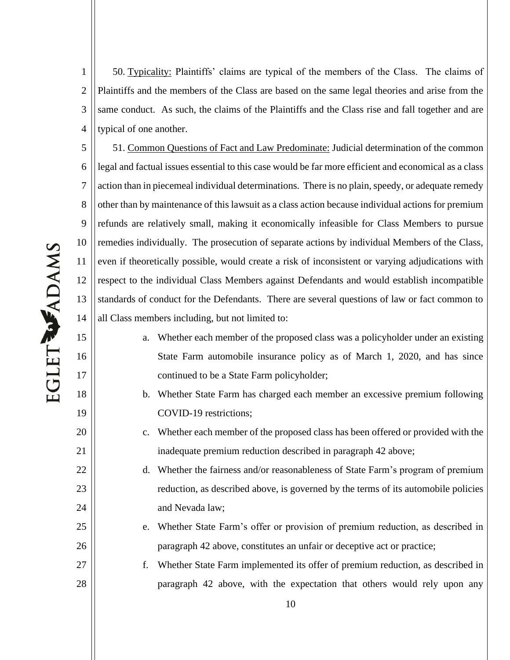1 2 3 4 50. Typicality: Plaintiffs' claims are typical of the members of the Class. The claims of Plaintiffs and the members of the Class are based on the same legal theories and arise from the same conduct. As such, the claims of the Plaintiffs and the Class rise and fall together and are typical of one another.

5 6 7 8 9 10 11 12 13 14 51. Common Questions of Fact and Law Predominate: Judicial determination of the common legal and factual issues essential to this case would be far more efficient and economical as a class action than in piecemeal individual determinations. There is no plain, speedy, or adequate remedy other than by maintenance of this lawsuit as a class action because individual actions for premium refunds are relatively small, making it economically infeasible for Class Members to pursue remedies individually. The prosecution of separate actions by individual Members of the Class, even if theoretically possible, would create a risk of inconsistent or varying adjudications with respect to the individual Class Members against Defendants and would establish incompatible standards of conduct for the Defendants. There are several questions of law or fact common to all Class members including, but not limited to:

- a. Whether each member of the proposed class was a policyholder under an existing State Farm automobile insurance policy as of March 1, 2020, and has since continued to be a State Farm policyholder;
- b. Whether State Farm has charged each member an excessive premium following COVID-19 restrictions;
- c. Whether each member of the proposed class has been offered or provided with the inadequate premium reduction described in paragraph 42 above;
- d. Whether the fairness and/or reasonableness of State Farm's program of premium reduction, as described above, is governed by the terms of its automobile policies and Nevada law;
- e. Whether State Farm's offer or provision of premium reduction, as described in paragraph 42 above, constitutes an unfair or deceptive act or practice;

f. Whether State Farm implemented its offer of premium reduction, as described in paragraph 42 above, with the expectation that others would rely upon any

15

16

17

18

19

20

21

22

23

24

25

26

27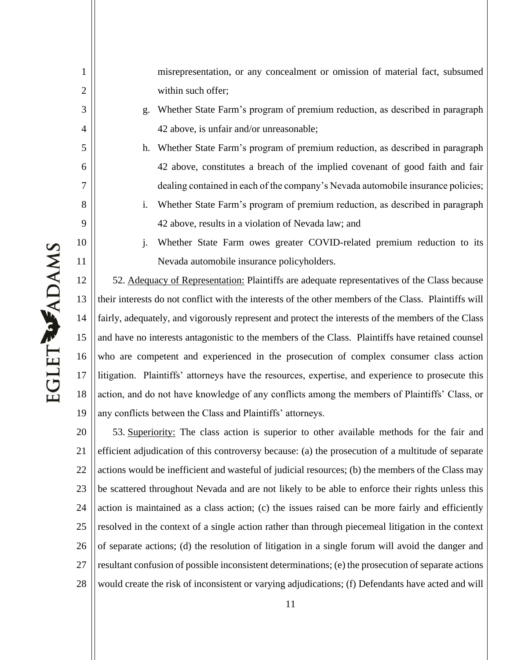misrepresentation, or any concealment or omission of material fact, subsumed within such offer;

- g. Whether State Farm's program of premium reduction, as described in paragraph 42 above, is unfair and/or unreasonable;
- h. Whether State Farm's program of premium reduction, as described in paragraph 42 above, constitutes a breach of the implied covenant of good faith and fair dealing contained in each of the company's Nevada automobile insurance policies;
- i. Whether State Farm's program of premium reduction, as described in paragraph 42 above, results in a violation of Nevada law; and

**EGLET WADAMS** 

1

2

3

4

5

6

7

8

9

10

11

j. Whether State Farm owes greater COVID-related premium reduction to its Nevada automobile insurance policyholders.

12 13 14 15 16 17 18 19 52. Adequacy of Representation: Plaintiffs are adequate representatives of the Class because their interests do not conflict with the interests of the other members of the Class. Plaintiffs will fairly, adequately, and vigorously represent and protect the interests of the members of the Class and have no interests antagonistic to the members of the Class. Plaintiffs have retained counsel who are competent and experienced in the prosecution of complex consumer class action litigation. Plaintiffs' attorneys have the resources, expertise, and experience to prosecute this action, and do not have knowledge of any conflicts among the members of Plaintiffs' Class, or any conflicts between the Class and Plaintiffs' attorneys.

20 21 22 23 24 25 26 27 28 53. Superiority: The class action is superior to other available methods for the fair and efficient adjudication of this controversy because: (a) the prosecution of a multitude of separate actions would be inefficient and wasteful of judicial resources; (b) the members of the Class may be scattered throughout Nevada and are not likely to be able to enforce their rights unless this action is maintained as a class action; (c) the issues raised can be more fairly and efficiently resolved in the context of a single action rather than through piecemeal litigation in the context of separate actions; (d) the resolution of litigation in a single forum will avoid the danger and resultant confusion of possible inconsistent determinations; (e) the prosecution of separate actions would create the risk of inconsistent or varying adjudications; (f) Defendants have acted and will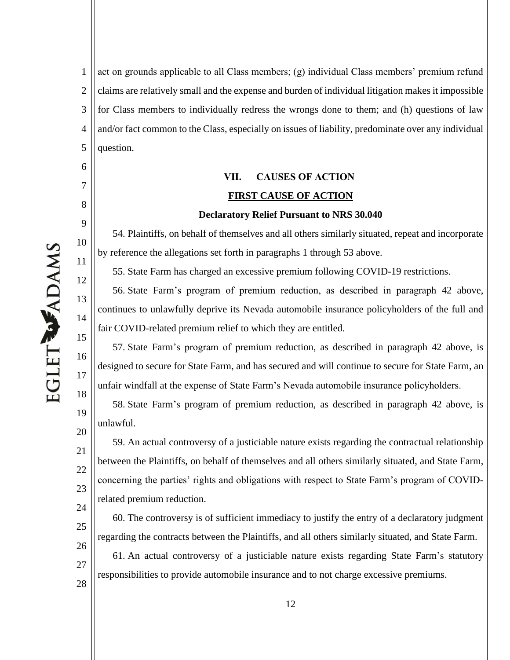6

7

8

9

10

11

12

13

14

15

16

17

18

19

20

23

24

25

27

1 2 3 4 5 act on grounds applicable to all Class members; (g) individual Class members' premium refund claims are relatively small and the expense and burden of individual litigation makes it impossible for Class members to individually redress the wrongs done to them; and (h) questions of law and/or fact common to the Class, especially on issues of liability, predominate over any individual question.

# **VII. CAUSES OF ACTION FIRST CAUSE OF ACTION**

### **Declaratory Relief Pursuant to NRS 30.040**

54. Plaintiffs, on behalf of themselves and all others similarly situated, repeat and incorporate by reference the allegations set forth in paragraphs 1 through 53 above.

55. State Farm has charged an excessive premium following COVID-19 restrictions.

56. State Farm's program of premium reduction, as described in paragraph 42 above, continues to unlawfully deprive its Nevada automobile insurance policyholders of the full and fair COVID-related premium relief to which they are entitled.

57. State Farm's program of premium reduction, as described in paragraph 42 above, is designed to secure for State Farm, and has secured and will continue to secure for State Farm, an unfair windfall at the expense of State Farm's Nevada automobile insurance policyholders.

58. State Farm's program of premium reduction, as described in paragraph 42 above, is unlawful.

21 22 59. An actual controversy of a justiciable nature exists regarding the contractual relationship between the Plaintiffs, on behalf of themselves and all others similarly situated, and State Farm, concerning the parties' rights and obligations with respect to State Farm's program of COVIDrelated premium reduction.

60. The controversy is of sufficient immediacy to justify the entry of a declaratory judgment regarding the contracts between the Plaintiffs, and all others similarly situated, and State Farm.

26 28 61. An actual controversy of a justiciable nature exists regarding State Farm's statutory responsibilities to provide automobile insurance and to not charge excessive premiums.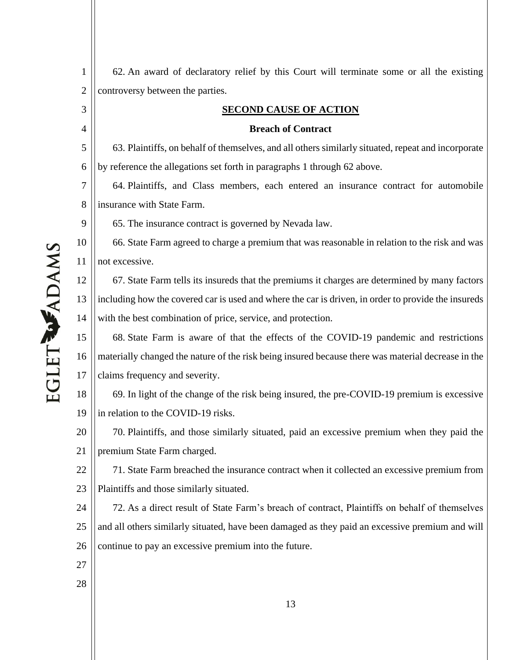1 2 62. An award of declaratory relief by this Court will terminate some or all the existing controversy between the parties.

### **SECOND CAUSE OF ACTION**

### **Breach of Contract**

5 6 63. Plaintiffs, on behalf of themselves, and all others similarly situated, repeat and incorporate by reference the allegations set forth in paragraphs 1 through 62 above.

7 8 64. Plaintiffs, and Class members, each entered an insurance contract for automobile insurance with State Farm.

65. The insurance contract is governed by Nevada law.

10 11 66. State Farm agreed to charge a premium that was reasonable in relation to the risk and was not excessive.

12 13 14 67. State Farm tells its insureds that the premiums it charges are determined by many factors including how the covered car is used and where the car is driven, in order to provide the insureds with the best combination of price, service, and protection.

15 16 17 68. State Farm is aware of that the effects of the COVID-19 pandemic and restrictions materially changed the nature of the risk being insured because there was material decrease in the claims frequency and severity.

18 19 69. In light of the change of the risk being insured, the pre-COVID-19 premium is excessive in relation to the COVID-19 risks.

20 21 70. Plaintiffs, and those similarly situated, paid an excessive premium when they paid the premium State Farm charged.

22 23 71. State Farm breached the insurance contract when it collected an excessive premium from Plaintiffs and those similarly situated.

24 25 26 72. As a direct result of State Farm's breach of contract, Plaintiffs on behalf of themselves and all others similarly situated, have been damaged as they paid an excessive premium and will continue to pay an excessive premium into the future.

- 27
- 28

EGLET WADAMS

3

4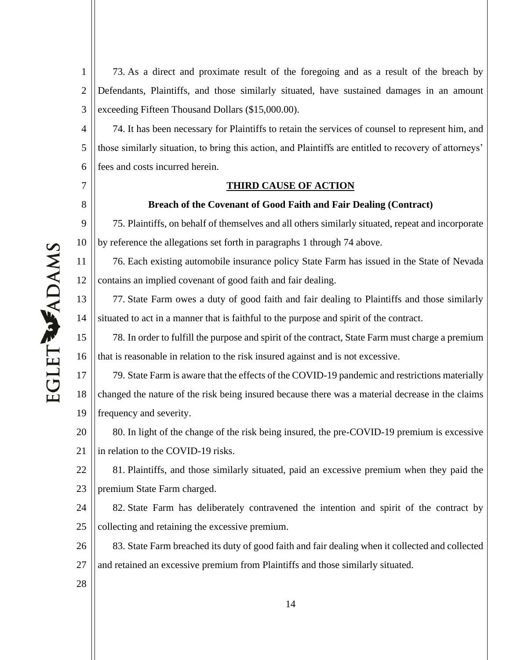7

8

9

10

11

12

1 2 3 73. As a direct and proximate result of the foregoing and as a result of the breach by Defendants, Plaintiffs, and those similarly situated, have sustained damages in an amount exceeding Fifteen Thousand Dollars (\$15,000.00).

4 5 6 74. It has been necessary for Plaintiffs to retain the services of counsel to represent him, and those similarly situation, to bring this action, and Plaintiffs are entitled to recovery of attorneys' fees and costs incurred herein.

### **THIRD CAUSE OF ACTION**

### **Breach of the Covenant of Good Faith and Fair Dealing (Contract)**

75. Plaintiffs, on behalf of themselves and all others similarly situated, repeat and incorporate by reference the allegations set forth in paragraphs 1 through 74 above.

76. Each existing automobile insurance policy State Farm has issued in the State of Nevada contains an implied covenant of good faith and fair dealing.

13 14 77. State Farm owes a duty of good faith and fair dealing to Plaintiffs and those similarly situated to act in a manner that is faithful to the purpose and spirit of the contract.

15 16 78. In order to fulfill the purpose and spirit of the contract, State Farm must charge a premium that is reasonable in relation to the risk insured against and is not excessive.

17 18 19 79. State Farm is aware that the effects of the COVID-19 pandemic and restrictions materially changed the nature of the risk being insured because there was a material decrease in the claims frequency and severity.

20 21 80. In light of the change of the risk being insured, the pre-COVID-19 premium is excessive in relation to the COVID-19 risks.

22 23 81. Plaintiffs, and those similarly situated, paid an excessive premium when they paid the premium State Farm charged.

24 25 82. State Farm has deliberately contravened the intention and spirit of the contract by collecting and retaining the excessive premium.

26 27 83. State Farm breached its duty of good faith and fair dealing when it collected and collected and retained an excessive premium from Plaintiffs and those similarly situated.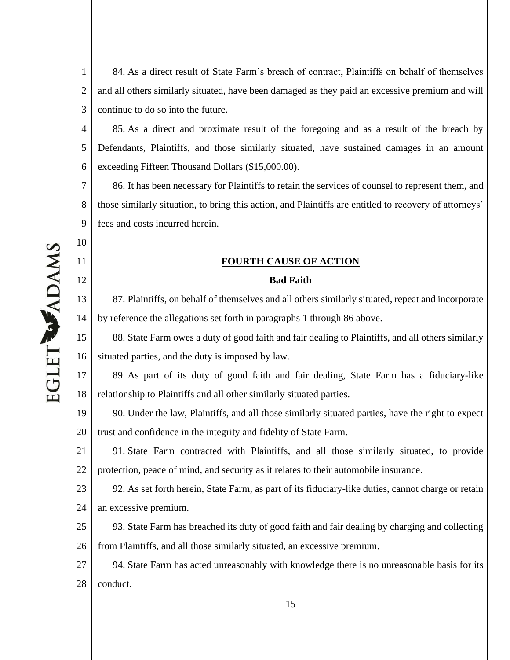1 2 3 84. As a direct result of State Farm's breach of contract, Plaintiffs on behalf of themselves and all others similarly situated, have been damaged as they paid an excessive premium and will continue to do so into the future.

4 5 6 85. As a direct and proximate result of the foregoing and as a result of the breach by Defendants, Plaintiffs, and those similarly situated, have sustained damages in an amount exceeding Fifteen Thousand Dollars (\$15,000.00).

7 8 9 86. It has been necessary for Plaintiffs to retain the services of counsel to represent them, and those similarly situation, to bring this action, and Plaintiffs are entitled to recovery of attorneys' fees and costs incurred herein.

### **FOURTH CAUSE OF ACTION**

### **Bad Faith**

87. Plaintiffs, on behalf of themselves and all others similarly situated, repeat and incorporate by reference the allegations set forth in paragraphs 1 through 86 above.

15 16 88. State Farm owes a duty of good faith and fair dealing to Plaintiffs, and all others similarly situated parties, and the duty is imposed by law.

17 18 89. As part of its duty of good faith and fair dealing, State Farm has a fiduciary-like relationship to Plaintiffs and all other similarly situated parties.

19 20 90. Under the law, Plaintiffs, and all those similarly situated parties, have the right to expect trust and confidence in the integrity and fidelity of State Farm.

21 22 91. State Farm contracted with Plaintiffs, and all those similarly situated, to provide protection, peace of mind, and security as it relates to their automobile insurance.

23 24 92. As set forth herein, State Farm, as part of its fiduciary-like duties, cannot charge or retain an excessive premium.

25 26 93. State Farm has breached its duty of good faith and fair dealing by charging and collecting from Plaintiffs, and all those similarly situated, an excessive premium.

27 28 94. State Farm has acted unreasonably with knowledge there is no unreasonable basis for its conduct.

10

11

12

13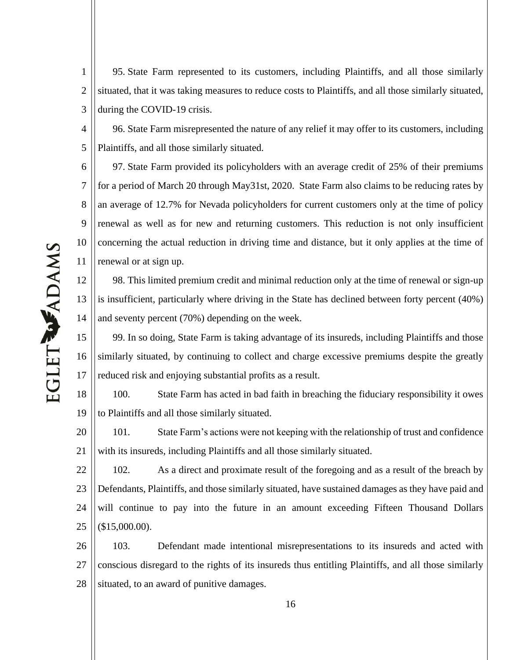1 2 3 95. State Farm represented to its customers, including Plaintiffs, and all those similarly situated, that it was taking measures to reduce costs to Plaintiffs, and all those similarly situated, during the COVID-19 crisis.

4 96. State Farm misrepresented the nature of any relief it may offer to its customers, including Plaintiffs, and all those similarly situated.

6 7 8 9 10 11 97. State Farm provided its policyholders with an average credit of 25% of their premiums for a period of March 20 through May31st, 2020. State Farm also claims to be reducing rates by an average of 12.7% for Nevada policyholders for current customers only at the time of policy renewal as well as for new and returning customers. This reduction is not only insufficient concerning the actual reduction in driving time and distance, but it only applies at the time of renewal or at sign up.

12 13 14 98. This limited premium credit and minimal reduction only at the time of renewal or sign-up is insufficient, particularly where driving in the State has declined between forty percent (40%) and seventy percent (70%) depending on the week.

15 16 17 99. In so doing, State Farm is taking advantage of its insureds, including Plaintiffs and those similarly situated, by continuing to collect and charge excessive premiums despite the greatly reduced risk and enjoying substantial profits as a result.

18 19 100. State Farm has acted in bad faith in breaching the fiduciary responsibility it owes to Plaintiffs and all those similarly situated.

20 21 101. State Farm's actions were not keeping with the relationship of trust and confidence with its insureds, including Plaintiffs and all those similarly situated.

22 23 24 25 102. As a direct and proximate result of the foregoing and as a result of the breach by Defendants, Plaintiffs, and those similarly situated, have sustained damages as they have paid and will continue to pay into the future in an amount exceeding Fifteen Thousand Dollars (\$15,000.00).

26 27 28 103. Defendant made intentional misrepresentations to its insureds and acted with conscious disregard to the rights of its insureds thus entitling Plaintiffs, and all those similarly situated, to an award of punitive damages.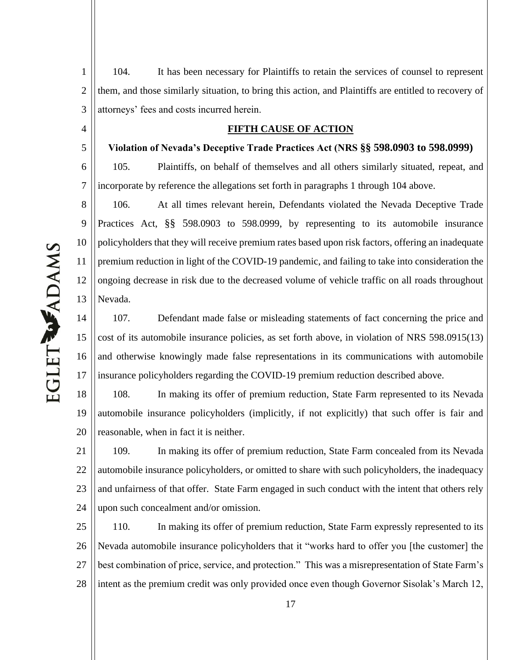1 2 3 104. It has been necessary for Plaintiffs to retain the services of counsel to represent them, and those similarly situation, to bring this action, and Plaintiffs are entitled to recovery of attorneys' fees and costs incurred herein.

### **FIFTH CAUSE OF ACTION**

**Violation of Nevada's Deceptive Trade Practices Act (NRS §§ 598.0903 to 598.0999)** 

6 7 105. Plaintiffs, on behalf of themselves and all others similarly situated, repeat, and incorporate by reference the allegations set forth in paragraphs 1 through 104 above.

8 9 10 11 12 13 106. At all times relevant herein, Defendants violated the Nevada Deceptive Trade Practices Act, §§ 598.0903 to 598.0999, by representing to its automobile insurance policyholders that they will receive premium rates based upon risk factors, offering an inadequate premium reduction in light of the COVID-19 pandemic, and failing to take into consideration the ongoing decrease in risk due to the decreased volume of vehicle traffic on all roads throughout Nevada.

14 15 16 17 107. Defendant made false or misleading statements of fact concerning the price and cost of its automobile insurance policies, as set forth above, in violation of NRS 598.0915(13) and otherwise knowingly made false representations in its communications with automobile insurance policyholders regarding the COVID-19 premium reduction described above.

18 19 20 108. In making its offer of premium reduction, State Farm represented to its Nevada automobile insurance policyholders (implicitly, if not explicitly) that such offer is fair and reasonable, when in fact it is neither.

21 22 23 24 109. In making its offer of premium reduction, State Farm concealed from its Nevada automobile insurance policyholders, or omitted to share with such policyholders, the inadequacy and unfairness of that offer. State Farm engaged in such conduct with the intent that others rely upon such concealment and/or omission.

25 26 27 28 110. In making its offer of premium reduction, State Farm expressly represented to its Nevada automobile insurance policyholders that it "works hard to offer you [the customer] the best combination of price, service, and protection." This was a misrepresentation of State Farm's intent as the premium credit was only provided once even though Governor Sisolak's March 12,

4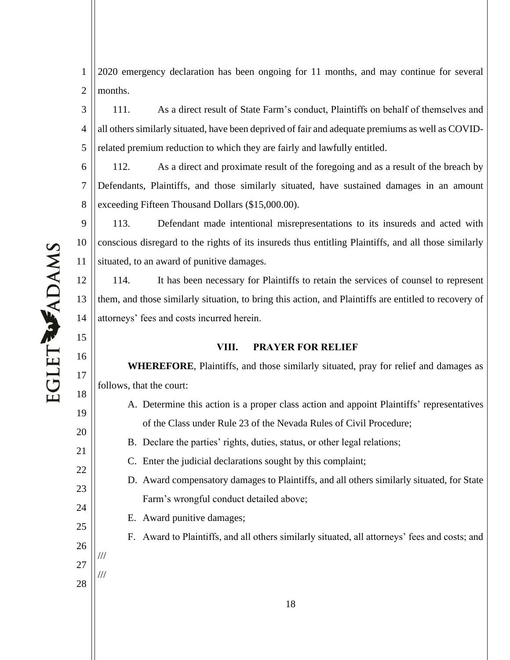1 2 2020 emergency declaration has been ongoing for 11 months, and may continue for several months.

3 4 5 111. As a direct result of State Farm's conduct, Plaintiffs on behalf of themselves and all others similarly situated, have been deprived of fair and adequate premiums as well as COVIDrelated premium reduction to which they are fairly and lawfully entitled.

6 7 8 112. As a direct and proximate result of the foregoing and as a result of the breach by Defendants, Plaintiffs, and those similarly situated, have sustained damages in an amount exceeding Fifteen Thousand Dollars (\$15,000.00).

9 10 11 113. Defendant made intentional misrepresentations to its insureds and acted with conscious disregard to the rights of its insureds thus entitling Plaintiffs, and all those similarly situated, to an award of punitive damages.

12 13 14 114. It has been necessary for Plaintiffs to retain the services of counsel to represent them, and those similarly situation, to bring this action, and Plaintiffs are entitled to recovery of attorneys' fees and costs incurred herein.

### **VIII. PRAYER FOR RELIEF**

**WHEREFORE**, Plaintiffs, and those similarly situated, pray for relief and damages as follows, that the court:

- A. Determine this action is a proper class action and appoint Plaintiffs' representatives of the Class under Rule 23 of the Nevada Rules of Civil Procedure;
	- B. Declare the parties' rights, duties, status, or other legal relations;
- C. Enter the judicial declarations sought by this complaint;
- D. Award compensatory damages to Plaintiffs, and all others similarly situated, for State Farm's wrongful conduct detailed above;
- E. Award punitive damages;
	- F. Award to Plaintiffs, and all others similarly situated, all attorneys' fees and costs; and

15

16

17

18

19

20

21

22

23

24

25

26

27

///

///